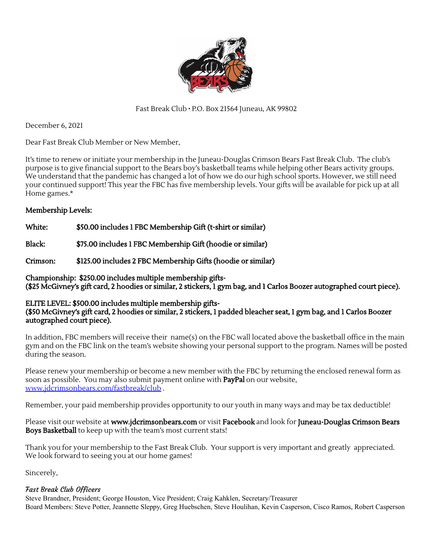

Fast Break Club ∙ P.O. Box 21564 Juneau, AK 99802

December 6, 2021

Dear Fast Break Club Member or New Member,

It's time to renew or initiate your membership in the Juneau-Douglas Crimson Bears Fast Break Club. The club's purpose is to give financial support to the Bears boy's basketball teams while helping other Bears activity groups. We understand that the pandemic has changed a lot of how we do our high school sports. However, we still need your continued support! This year the FBC has five membership levels. Your gifts will be available for pick up at all Home games.\*

### Membership Levels:

White:  $$50.00$  includes 1 FBC Membership Gift (t-shirt or similar)

Black: \$75.00 includes 1 FBC Membership Gift (hoodie or similar)

Crimson: \$125.00 includes 2 FBC Membership Gifts (hoodie or similar)

Championship: \$250.00 includes multiple membership gifts- (\$25 McGivney's gift card, 2 hoodies or similar, 2 stickers, 1 gym bag, and 1 Carlos Boozer autographed court piece).

### ELITE LEVEL: \$500.00 includes multiple membership gifts-

(\$50 McGivney's gift card, 2 hoodies or similar, 2 stickers, 1 padded bleacher seat, 1 gym bag, and 1 Carlos Boozer autographed court piece).

In addition, FBC members will receive their name(s) on the FBC wall located above the basketball office in the main gym and on the FBC link on the team's website showing your personal support to the program. Names will be posted during the season.

Please renew your membership or become a new member with the FBC by returning the enclosed renewal form as soon as possible. You may also submit payment online with **PayPal** on our website, [www.jdcrimsonbears.com/fastbreak/club](http://www.jdcrimsonbears.com/fastbreak/club) .

Remember, your paid membership provides opportunity to our youth in many ways and may be tax deductible!

Please visit our website at www.jdcrimsonbears.com or visit Facebook and look for Juneau-Douglas Crimson Bears Boys Basketball to keep up with the team's most current stats!

Thank you for your membership to the Fast Break Club. Your support is very important and greatly appreciated. We look forward to seeing you at our home games!

Sincerely,

### Fast Break Club Officers

Steve Brandner, President; George Houston, Vice President; Craig Kahklen, Secretary/Treasurer Board Members: Steve Potter, Jeannette Sleppy, Greg Huebschen, Steve Houlihan, Kevin Casperson, Cisco Ramos, Robert Casperson